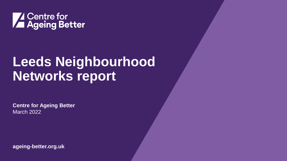

## **Leeds Neighbourhood Networks report**

**Centre for Ageing Better** March 2022

**ageing-better.org.uk**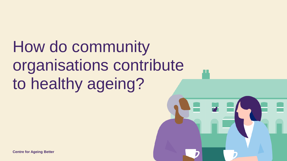How do community organisations contribute to healthy ageing?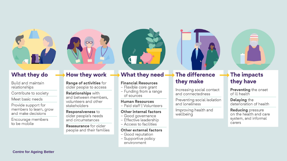

### **What they do**

Build and maintain relationships

Contribute to society

Meet basic needs

Provide support for members to learn, grow and make decisions

Encourage members to be mobile

# $\overline{\mathrm{CC}}$

### How they work

Range of activities for older people to access

**Relationships with** and between members. volunteers and other stakeholders

#### **Responsiveness to** older people's needs and circumstances

**Reassurance** for older people and their families



### **What they need**

#### **Financial Resources**

- Flexible core grant
- Funding from a range of sources

#### **Human Resources**

- Paid staff | Volunteers

#### Other internal factors

- Good governance
- Effective leadership
- Access to facilities

#### Other external factors

- Good reputation
- Supportive policy environment



Increasing social contact and connectedness

Preventing social isolation and loneliness

Improving health and wellbeing

### The impacts they have

**Preventing the onset** of ill health

Delaying the deterioration of health

**Reducing pressure** on the health and care system, and informal carers

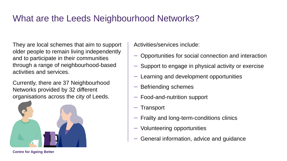### What are the Leeds Neighbourhood Networks?

They are local schemes that aim to support older people to remain living independently and to participate in their communities through a range of neighbourhood-based activities and services.

Currently, there are 37 Neighbourhood Networks provided by 32 different organisations across the city of Leeds.



Activities/services include:

- ꟷ Opportunities for social connection and interaction
- ꟷ Support to engage in physical activity or exercise
- ꟷ Learning and development opportunities
- ꟷ Befriending schemes
- ꟷ Food-and-nutrition support
- **Transport**
- ꟷ Frailty and long-term-conditions clinics
- ꟷ Volunteering opportunities
- ꟷ General information, advice and guidance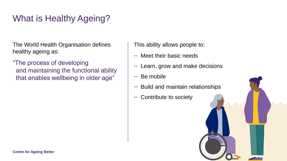### What is Healthy Ageing?

The World Health Organisation defines healthy ageing as:

"The process of developing and maintaining the functional ability that enables wellbeing in older age"

This ability allows people to:

- ꟷ Meet their basic needs
- $-$  Learn, grow and make decisions
- $-$  Be mobile
- $-$  Build and maintain relationships
- ꟷ Contribute to society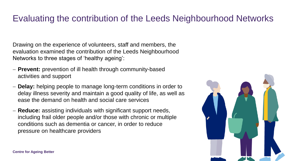### Evaluating the contribution of the Leeds Neighbourhood Networks

Drawing on the experience of volunteers, staff and members, the evaluation examined the contribution of the Leeds Neighbourhood Networks to three stages of 'healthy ageing':

- − **Prevent:** prevention of ill health through community-based activities and support
- − **Delay:** helping people to manage long-term conditions in order to delay illness severity and maintain a good quality of life, as well as ease the demand on health and social care services
- − **Reduce:** assisting individuals with significant support needs, including frail older people and/or those with chronic or multiple conditions such as dementia or cancer, in order to reduce pressure on healthcare providers

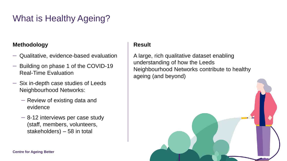### What is Healthy Ageing?

### **Methodology**

- ꟷ Qualitative, evidence-based evaluation
- Building on phase 1 of the COVID-19 Real-Time Evaluation
- $-$  Six in-depth case studies of Leeds Neighbourhood Networks:
	- Review of existing data and evidence
	- $-$  8-12 interviews per case study (staff, members, volunteers, stakeholders) – 58 in total

### **Result**

A large, rich qualitative dataset enabling understanding of how the Leeds Neighbourhood Networks contribute to healthy ageing (and beyond)

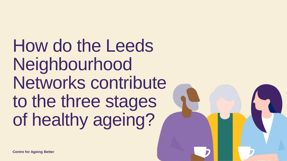How do the Leeds Neighbourhood Networks contribute to the three stages of healthy ageing?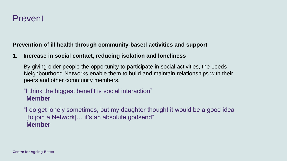### Prevent

### **Prevention of ill health through community-based activities and support**

### **1. Increase in social contact, reducing isolation and loneliness**

By giving older people the opportunity to participate in social activities, the Leeds Neighbourhood Networks enable them to build and maintain relationships with their peers and other community members.

### "I think the biggest benefit is social interaction" **Member**

"I do get lonely sometimes, but my daughter thought it would be a good idea [to join a Network]... it's an absolute godsend" **Member**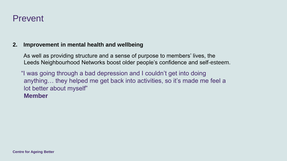### Prevent

### **2. Improvement in mental health and wellbeing**

As well as providing structure and a sense of purpose to members' lives, the Leeds Neighbourhood Networks boost older people's confidence and self-esteem.

"I was going through a bad depression and I couldn't get into doing anything… they helped me get back into activities, so it's made me feel a lot better about myself" **Member**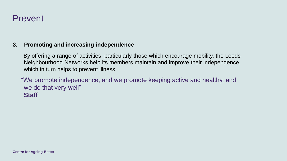### Prevent

#### **3. Promoting and increasing independence**

By offering a range of activities, particularly those which encourage mobility, the Leeds Neighbourhood Networks help its members maintain and improve their independence, which in turn helps to prevent illness.

"We promote independence, and we promote keeping active and healthy, and we do that very well" **Staff**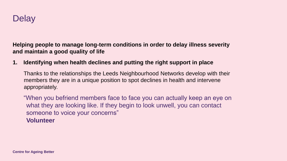

**Helping people to manage long-term conditions in order to delay illness severity and maintain a good quality of life**

#### **1. Identifying when health declines and putting the right support in place**

Thanks to the relationships the Leeds Neighbourhood Networks develop with their members they are in a unique position to spot declines in health and intervene appropriately.

"When you befriend members face to face you can actually keep an eye on what they are looking like. If they begin to look unwell, you can contact someone to voice your concerns" **Volunteer**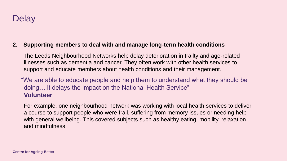

#### **2. Supporting members to deal with and manage long-term health conditions**

The Leeds Neighbourhood Networks help delay deterioration in frailty and age-related illnesses such as dementia and cancer. They often work with other health services to support and educate members about health conditions and their management.

"We are able to educate people and help them to understand what they should be doing… it delays the impact on the National Health Service" **Volunteer**

For example, one neighbourhood network was working with local health services to deliver a course to support people who were frail, suffering from memory issues or needing help with general wellbeing. This covered subjects such as healthy eating, mobility, relaxation and mindfulness.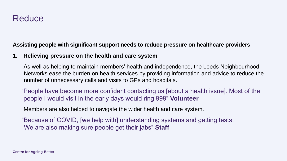### **Reduce**

### **Assisting people with significant support needs to reduce pressure on healthcare providers**

### **1. Relieving pressure on the health and care system**

As well as helping to maintain members' health and independence, the Leeds Neighbourhood Networks ease the burden on health services by providing information and advice to reduce the number of unnecessary calls and visits to GPs and hospitals.

"People have become more confident contacting us [about a health issue]. Most of the people I would visit in the early days would ring 999" **Volunteer**

Members are also helped to navigate the wider health and care system.

"Because of COVID, [we help with] understanding systems and getting tests. We are also making sure people get their jabs" **Staff**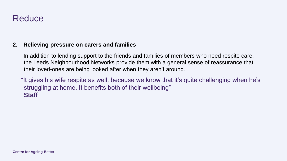### **Reduce**

### **2. Relieving pressure on carers and families**

In addition to lending support to the friends and families of members who need respite care, the Leeds Neighbourhood Networks provide them with a general sense of reassurance that their loved-ones are being looked after when they aren't around.

"It gives his wife respite as well, because we know that it's quite challenging when he's struggling at home. It benefits both of their wellbeing" **Staff**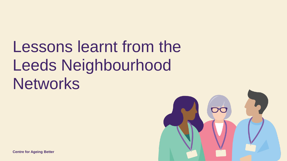# Lessons learnt from the Leeds Neighbourhood **Networks**

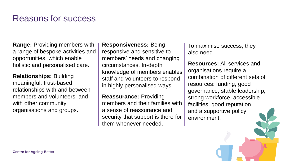### Reasons for success

**Range:** Providing members with a range of bespoke activities and opportunities, which enable holistic and personalised care.

**Relationships:** Building meaningful, trust-based relationships with and between members and volunteers; and with other community organisations and groups.

**Responsiveness:** Being responsive and sensitive to members' needs and changing circumstances. In-depth knowledge of members enables staff and volunteers to respond in highly personalised ways.

**Reassurance:** Providing members and their families with a sense of reassurance and security that support is there for them whenever needed.

To maximise success, they also need…

**Resources:** All services and organisations require a combination of different sets of resources: funding, good governance, stable leadership, strong workforce, accessible facilities, good reputation and a supportive policy environment.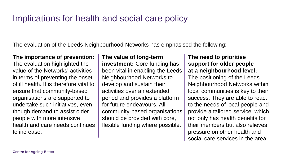### Implications for health and social care policy

The evaluation of the Leeds Neighbourhood Networks has emphasised the following:

#### **The importance of prevention:**

The evaluation highlighted the value of the Networks' activities in terms of preventing the onset of ill health. It is therefore vital to ensure that community-based organisations are supported to undertake such initiatives, even though demand to assist older people with more intensive health and care needs continues to increase.

#### **The value of long-term**

**investment:** Core funding has been vital in enabling the Leeds Neighbourhood Networks to develop and sustain their activities over an extended period and provides a platform for future endeavours. All community-based organisations should be provided with core, flexible funding where possible.

#### **The need to prioritise support for older people at a neighbourhood level:**

The positioning of the Leeds Neighbourhood Networks within local communities is key to their success. They are able to react to the needs of local people and provide a tailored service, which not only has health benefits for their members but also relieves pressure on other health and social care services in the area.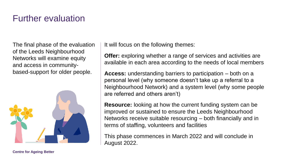### Further evaluation

The final phase of the evaluation of the Leeds Neighbourhood Networks will examine equity and access in communitybased-support for older people.



It will focus on the following themes:

**Offer:** exploring whether a range of services and activities are available in each area according to the needs of local members

**Access:** understanding barriers to participation – both on a personal level (why someone doesn't take up a referral to a Neighbourhood Network) and a system level (why some people are referred and others aren't)

**Resource:** looking at how the current funding system can be improved or sustained to ensure the Leeds Neighbourhood Networks receive suitable resourcing – both financially and in terms of staffing, volunteers and facilities

This phase commences in March 2022 and will conclude in August 2022.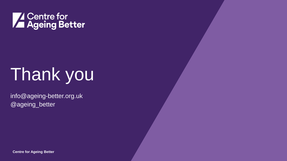

# Thank you

info@ageing-better.org.uk @ageing\_better